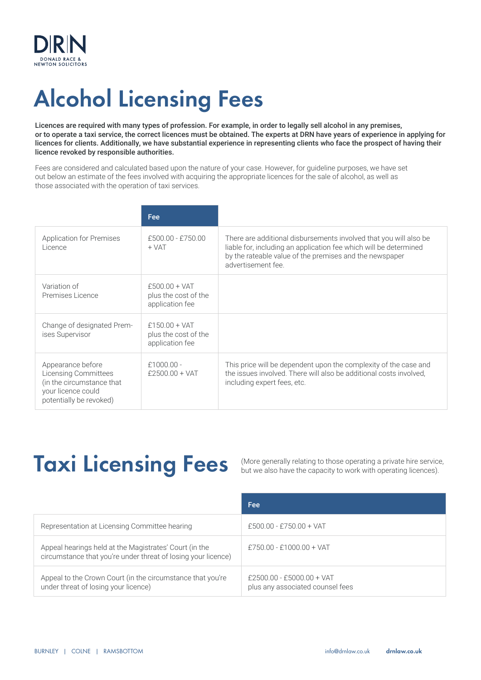

# Alcohol Licensing Fees

Licences are required with many types of profession. For example, in order to legally sell alcohol in any premises, or to operate a taxi service, the correct licences must be obtained. The experts at DRN have years of experience in applying for licences for clients. Additionally, we have substantial experience in representing clients who face the prospect of having their licence revoked by responsible authorities.

Fees are considered and calculated based upon the nature of your case. However, for guideline purposes, we have set out below an estimate of the fees involved with acquiring the appropriate licences for the sale of alcohol, as well as those associated with the operation of taxi services.

|                                                                                                                                | Fee                                                        |                                                                                                                                                                                                                         |
|--------------------------------------------------------------------------------------------------------------------------------|------------------------------------------------------------|-------------------------------------------------------------------------------------------------------------------------------------------------------------------------------------------------------------------------|
| <b>Application for Premises</b><br>Licence                                                                                     | $£500.00 - £750.00$<br>$+ VAT$                             | There are additional disbursements involved that you will also be<br>liable for, including an application fee which will be determined<br>by the rateable value of the premises and the newspaper<br>advertisement fee. |
| Variation of<br>Premises Licence                                                                                               | $£500.00 + VAT$<br>plus the cost of the<br>application fee |                                                                                                                                                                                                                         |
| Change of designated Prem-<br>ises Supervisor                                                                                  | £150.00 + $VAT$<br>plus the cost of the<br>application fee |                                                                                                                                                                                                                         |
| Appearance before<br><b>Licensing Committees</b><br>(in the circumstance that<br>your licence could<br>potentially be revoked) | $£1000.00 -$<br>$f2500.00 + VAT$                           | This price will be dependent upon the complexity of the case and<br>the issues involved. There will also be additional costs involved,<br>including expert fees, etc.                                                   |

## Taxi Licensing Fees

(More generally relating to those operating a private hire service, but we also have the capacity to work with operating licences).

|                                                                                                                         | Fee                                                             |
|-------------------------------------------------------------------------------------------------------------------------|-----------------------------------------------------------------|
| Representation at Licensing Committee hearing                                                                           | $£500.00 - £750.00 + VAT$                                       |
| Appeal hearings held at the Magistrates' Court (in the<br>circumstance that you're under threat of losing your licence) | $£750.00 - £1000.00 + VAT$                                      |
| Appeal to the Crown Court (in the circumstance that you're<br>under threat of losing your licence)                      | $£2500.00 - £5000.00 + VAT$<br>plus any associated counsel fees |